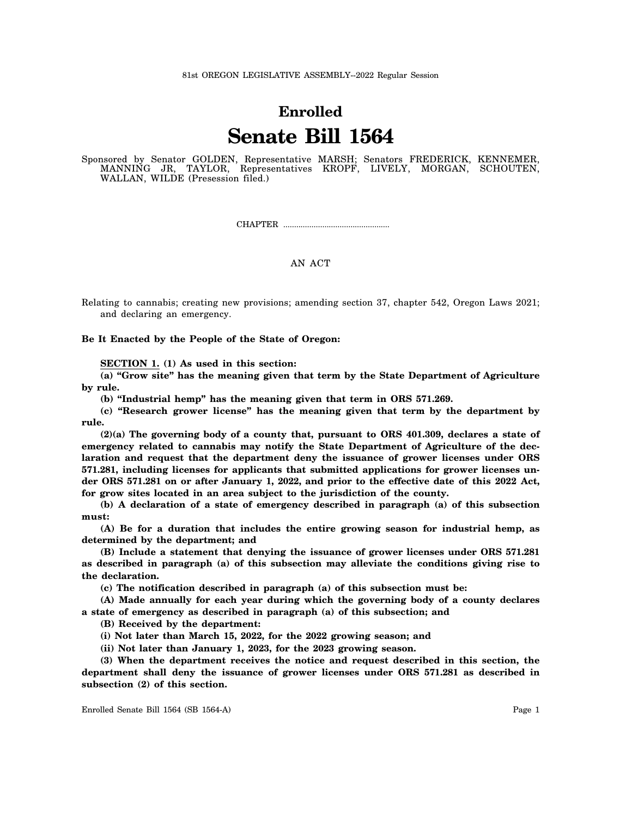## **Enrolled Senate Bill 1564**

Sponsored by Senator GOLDEN, Representative MARSH; Senators FREDERICK, KENNEMER, MANNING JR, TAYLOR, Representatives KROPF, LIVELY, MORGAN, SCHOUTEN, WALLAN, WILDE (Presession filed.)

CHAPTER .................................................

## AN ACT

Relating to cannabis; creating new provisions; amending section 37, chapter 542, Oregon Laws 2021; and declaring an emergency.

**Be It Enacted by the People of the State of Oregon:**

**SECTION 1. (1) As used in this section:**

**(a) "Grow site" has the meaning given that term by the State Department of Agriculture by rule.**

**(b) "Industrial hemp" has the meaning given that term in ORS 571.269.**

**(c) "Research grower license" has the meaning given that term by the department by rule.**

**(2)(a) The governing body of a county that, pursuant to ORS 401.309, declares a state of emergency related to cannabis may notify the State Department of Agriculture of the declaration and request that the department deny the issuance of grower licenses under ORS 571.281, including licenses for applicants that submitted applications for grower licenses under ORS 571.281 on or after January 1, 2022, and prior to the effective date of this 2022 Act, for grow sites located in an area subject to the jurisdiction of the county.**

**(b) A declaration of a state of emergency described in paragraph (a) of this subsection must:**

**(A) Be for a duration that includes the entire growing season for industrial hemp, as determined by the department; and**

**(B) Include a statement that denying the issuance of grower licenses under ORS 571.281 as described in paragraph (a) of this subsection may alleviate the conditions giving rise to the declaration.**

**(c) The notification described in paragraph (a) of this subsection must be:**

**(A) Made annually for each year during which the governing body of a county declares a state of emergency as described in paragraph (a) of this subsection; and**

**(B) Received by the department:**

**(i) Not later than March 15, 2022, for the 2022 growing season; and**

**(ii) Not later than January 1, 2023, for the 2023 growing season.**

**(3) When the department receives the notice and request described in this section, the department shall deny the issuance of grower licenses under ORS 571.281 as described in subsection (2) of this section.**

Enrolled Senate Bill 1564 (SB 1564-A) Page 1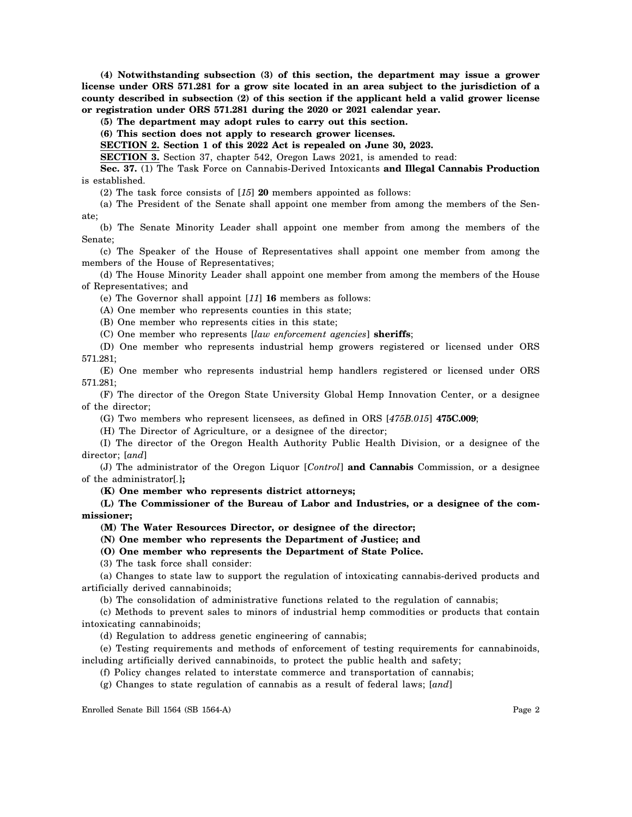**(4) Notwithstanding subsection (3) of this section, the department may issue a grower license under ORS 571.281 for a grow site located in an area subject to the jurisdiction of a county described in subsection (2) of this section if the applicant held a valid grower license or registration under ORS 571.281 during the 2020 or 2021 calendar year.**

**(5) The department may adopt rules to carry out this section.**

**(6) This section does not apply to research grower licenses.**

**SECTION 2. Section 1 of this 2022 Act is repealed on June 30, 2023.**

**SECTION 3.** Section 37, chapter 542, Oregon Laws 2021, is amended to read:

**Sec. 37.** (1) The Task Force on Cannabis-Derived Intoxicants **and Illegal Cannabis Production** is established.

(2) The task force consists of [*15*] **20** members appointed as follows:

(a) The President of the Senate shall appoint one member from among the members of the Senate;

(b) The Senate Minority Leader shall appoint one member from among the members of the Senate;

(c) The Speaker of the House of Representatives shall appoint one member from among the members of the House of Representatives;

(d) The House Minority Leader shall appoint one member from among the members of the House of Representatives; and

(e) The Governor shall appoint [*11*] **16** members as follows:

(A) One member who represents counties in this state;

(B) One member who represents cities in this state;

(C) One member who represents [*law enforcement agencies*] **sheriffs**;

(D) One member who represents industrial hemp growers registered or licensed under ORS 571.281;

(E) One member who represents industrial hemp handlers registered or licensed under ORS 571.281;

(F) The director of the Oregon State University Global Hemp Innovation Center, or a designee of the director;

(G) Two members who represent licensees, as defined in ORS [*475B.015*] **475C.009**;

(H) The Director of Agriculture, or a designee of the director;

(I) The director of the Oregon Health Authority Public Health Division, or a designee of the director; [*and*]

(J) The administrator of the Oregon Liquor [*Control*] **and Cannabis** Commission, or a designee of the administrator[*.*]**;**

**(K) One member who represents district attorneys;**

**(L) The Commissioner of the Bureau of Labor and Industries, or a designee of the commissioner;**

**(M) The Water Resources Director, or designee of the director;**

**(N) One member who represents the Department of Justice; and**

**(O) One member who represents the Department of State Police.**

(3) The task force shall consider:

(a) Changes to state law to support the regulation of intoxicating cannabis-derived products and artificially derived cannabinoids;

(b) The consolidation of administrative functions related to the regulation of cannabis;

(c) Methods to prevent sales to minors of industrial hemp commodities or products that contain intoxicating cannabinoids;

(d) Regulation to address genetic engineering of cannabis;

(e) Testing requirements and methods of enforcement of testing requirements for cannabinoids, including artificially derived cannabinoids, to protect the public health and safety;

(f) Policy changes related to interstate commerce and transportation of cannabis;

(g) Changes to state regulation of cannabis as a result of federal laws; [*and*]

Enrolled Senate Bill 1564 (SB 1564-A) Page 2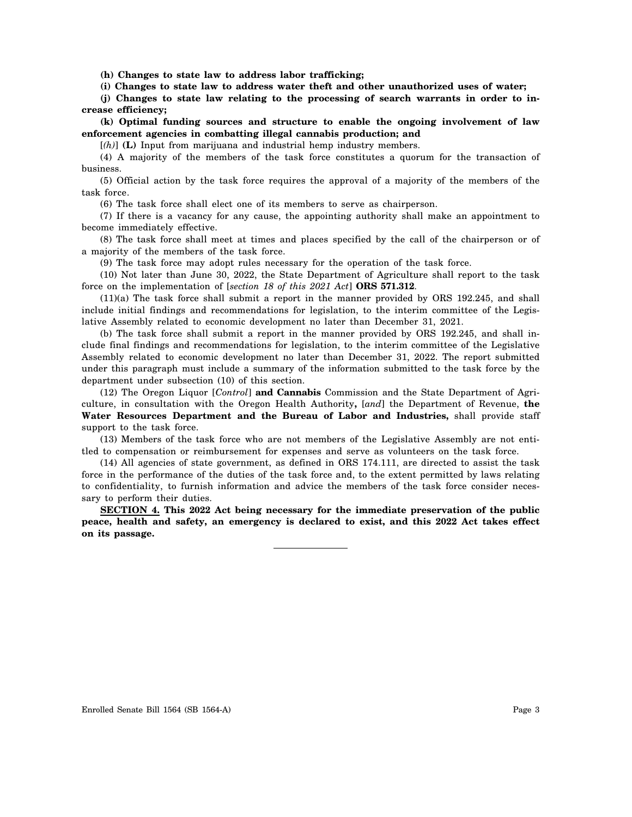**(h) Changes to state law to address labor trafficking;**

**(i) Changes to state law to address water theft and other unauthorized uses of water;**

**(j) Changes to state law relating to the processing of search warrants in order to increase efficiency;**

**(k) Optimal funding sources and structure to enable the ongoing involvement of law enforcement agencies in combatting illegal cannabis production; and**

[*(h)*] **(L)** Input from marijuana and industrial hemp industry members.

(4) A majority of the members of the task force constitutes a quorum for the transaction of business.

(5) Official action by the task force requires the approval of a majority of the members of the task force.

(6) The task force shall elect one of its members to serve as chairperson.

(7) If there is a vacancy for any cause, the appointing authority shall make an appointment to become immediately effective.

(8) The task force shall meet at times and places specified by the call of the chairperson or of a majority of the members of the task force.

(9) The task force may adopt rules necessary for the operation of the task force.

(10) Not later than June 30, 2022, the State Department of Agriculture shall report to the task force on the implementation of [*section 18 of this 2021 Act*] **ORS 571.312**.

(11)(a) The task force shall submit a report in the manner provided by ORS 192.245, and shall include initial findings and recommendations for legislation, to the interim committee of the Legislative Assembly related to economic development no later than December 31, 2021.

(b) The task force shall submit a report in the manner provided by ORS 192.245, and shall include final findings and recommendations for legislation, to the interim committee of the Legislative Assembly related to economic development no later than December 31, 2022. The report submitted under this paragraph must include a summary of the information submitted to the task force by the department under subsection (10) of this section.

(12) The Oregon Liquor [*Control*] **and Cannabis** Commission and the State Department of Agriculture, in consultation with the Oregon Health Authority**,** [*and*] the Department of Revenue, **the Water Resources Department and the Bureau of Labor and Industries,** shall provide staff support to the task force.

(13) Members of the task force who are not members of the Legislative Assembly are not entitled to compensation or reimbursement for expenses and serve as volunteers on the task force.

(14) All agencies of state government, as defined in ORS 174.111, are directed to assist the task force in the performance of the duties of the task force and, to the extent permitted by laws relating to confidentiality, to furnish information and advice the members of the task force consider necessary to perform their duties.

**SECTION 4. This 2022 Act being necessary for the immediate preservation of the public peace, health and safety, an emergency is declared to exist, and this 2022 Act takes effect on its passage.**